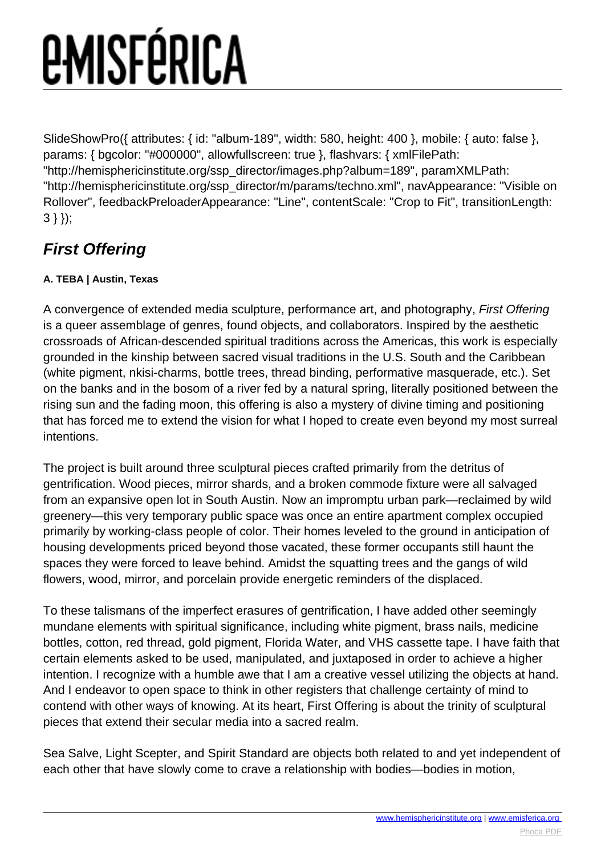# *<u>EMISFÉRICA</u>*

SlideShowPro({ attributes: { id: "album-189", width: 580, height: 400 }, mobile: { auto: false }, params: { bgcolor: "#000000", allowfullscreen: true }, flashvars: { xmlFilePath: "http://hemisphericinstitute.org/ssp\_director/images.php?album=189", paramXMLPath: "http://hemisphericinstitute.org/ssp\_director/m/params/techno.xml", navAppearance: "Visible on Rollover", feedbackPreloaderAppearance: "Line", contentScale: "Crop to Fit", transitionLength: 3 } });

### **First Offering**

#### **A. TEBA | Austin, Texas**

A convergence of extended media sculpture, performance art, and photography, First Offering is a queer assemblage of genres, found objects, and collaborators. Inspired by the aesthetic crossroads of African-descended spiritual traditions across the Americas, this work is especially grounded in the kinship between sacred visual traditions in the U.S. South and the Caribbean (white pigment, nkisi-charms, bottle trees, thread binding, performative masquerade, etc.). Set on the banks and in the bosom of a river fed by a natural spring, literally positioned between the rising sun and the fading moon, this offering is also a mystery of divine timing and positioning that has forced me to extend the vision for what I hoped to create even beyond my most surreal intentions.

The project is built around three sculptural pieces crafted primarily from the detritus of gentrification. Wood pieces, mirror shards, and a broken commode fixture were all salvaged from an expansive open lot in South Austin. Now an impromptu urban park—reclaimed by wild greenery—this very temporary public space was once an entire apartment complex occupied primarily by working-class people of color. Their homes leveled to the ground in anticipation of housing developments priced beyond those vacated, these former occupants still haunt the spaces they were forced to leave behind. Amidst the squatting trees and the gangs of wild flowers, wood, mirror, and porcelain provide energetic reminders of the displaced.

To these talismans of the imperfect erasures of gentrification, I have added other seemingly mundane elements with spiritual significance, including white pigment, brass nails, medicine bottles, cotton, red thread, gold pigment, Florida Water, and VHS cassette tape. I have faith that certain elements asked to be used, manipulated, and juxtaposed in order to achieve a higher intention. I recognize with a humble awe that I am a creative vessel utilizing the objects at hand. And I endeavor to open space to think in other registers that challenge certainty of mind to contend with other ways of knowing. At its heart, First Offering is about the trinity of sculptural pieces that extend their secular media into a sacred realm.

Sea Salve, Light Scepter, and Spirit Standard are objects both related to and yet independent of each other that have slowly come to crave a relationship with bodies—bodies in motion,